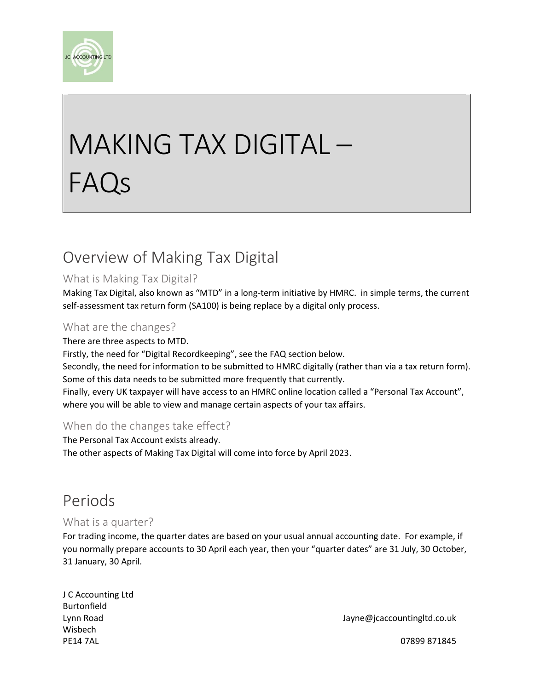

# MAKING TAX DIGITAL – FAQs

# Overview of Making Tax Digital

#### What is Making Tax Digital?

Making Tax Digital, also known as "MTD" in a long-term initiative by HMRC. in simple terms, the current self-assessment tax return form (SA100) is being replace by a digital only process.

#### What are the changes?

There are three aspects to MTD. Firstly, the need for "Digital Recordkeeping", see the FAQ section below. Secondly, the need for information to be submitted to HMRC digitally (rather than via a tax return form). Some of this data needs to be submitted more frequently that currently. Finally, every UK taxpayer will have access to an HMRC online location called a "Personal Tax Account", where you will be able to view and manage certain aspects of your tax affairs.

#### When do the changes take effect?

The Personal Tax Account exists already. The other aspects of Making Tax Digital will come into force by April 2023.

## Periods

#### What is a quarter?

For trading income, the quarter dates are based on your usual annual accounting date. For example, if you normally prepare accounts to 30 April each year, then your "quarter dates" are 31 July, 30 October, 31 January, 30 April.

J C Accounting Ltd Burtonfield Wisbech PE14 7AL 07899 871845

Lynn Road Jayne@jcaccountingltd.co.uk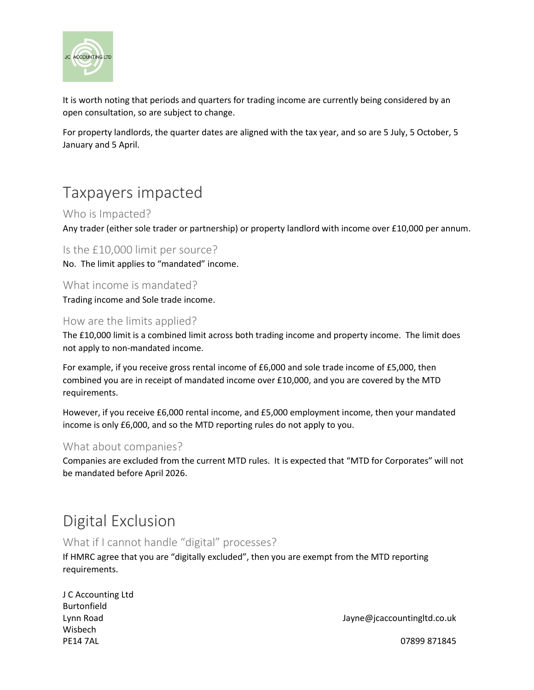

It is worth noting that periods and quarters for trading income are currently being considered by an open consultation, so are subject to change.

For property landlords, the quarter dates are aligned with the tax year, and so are 5 July, 5 October, 5 January and 5 April.

## Taxpayers impacted

#### Who is Impacted?

Any trader (either sole trader or partnership) or property landlord with income over £10,000 per annum.

Is the £10,000 limit per source?

No. The limit applies to "mandated" income.

What income is mandated? Trading income and Sole trade income.

#### How are the limits applied?

The £10,000 limit is a combined limit across both trading income and property income. The limit does not apply to non-mandated income.

For example, if you receive gross rental income of £6,000 and sole trade income of £5,000, then combined you are in receipt of mandated income over £10,000, and you are covered by the MTD requirements.

However, if you receive £6,000 rental income, and £5,000 employment income, then your mandated income is only £6,000, and so the MTD reporting rules do not apply to you.

#### What about companies?

Companies are excluded from the current MTD rules. It is expected that "MTD for Corporates" will not be mandated before April 2026.

# Digital Exclusion

#### What if I cannot handle "digital" processes?

If HMRC agree that you are "digitally excluded", then you are exempt from the MTD reporting requirements.

| J C Accounting Ltd |
|--------------------|
| <b>Burtonfield</b> |
| Lynn Road          |
| Wisbech            |
| <b>PE14 7AL</b>    |

Jayne@jcaccountingltd.co.uk

07899 871845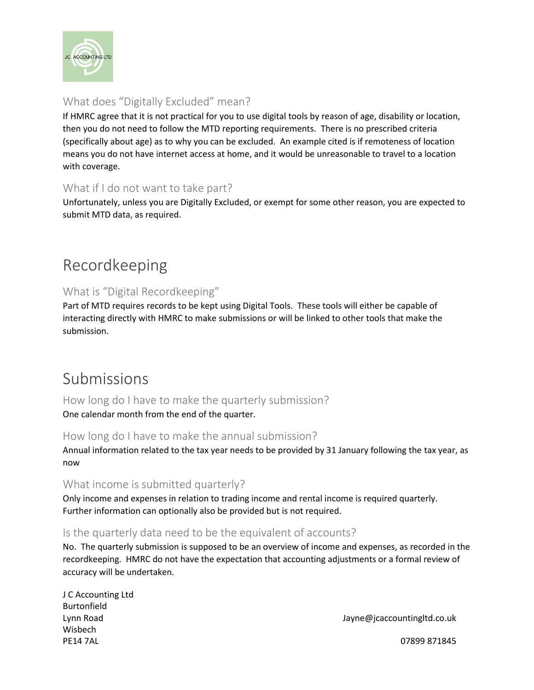

#### What does "Digitally Excluded" mean?

If HMRC agree that it is not practical for you to use digital tools by reason of age, disability or location, then you do not need to follow the MTD reporting requirements. There is no prescribed criteria (specifically about age) as to why you can be excluded. An example cited is if remoteness of location means you do not have internet access at home, and it would be unreasonable to travel to a location with coverage.

#### What if I do not want to take part?

Unfortunately, unless you are Digitally Excluded, or exempt for some other reason, you are expected to submit MTD data, as required.

# Recordkeeping

#### What is "Digital Recordkeeping"

Part of MTD requires records to be kept using Digital Tools. These tools will either be capable of interacting directly with HMRC to make submissions or will be linked to other tools that make the submission.

## Submissions

How long do I have to make the quarterly submission? One calendar month from the end of the quarter.

#### How long do I have to make the annual submission?

Annual information related to the tax year needs to be provided by 31 January following the tax year, as now

#### What income is submitted quarterly?

Only income and expenses in relation to trading income and rental income is required quarterly. Further information can optionally also be provided but is not required.

#### Is the quarterly data need to be the equivalent of accounts?

No. The quarterly submission is supposed to be an overview of income and expenses, as recorded in the recordkeeping. HMRC do not have the expectation that accounting adjustments or a formal review of accuracy will be undertaken.

| J C Accounting Ltd |
|--------------------|
| <b>Burtonfield</b> |
| Lynn Road          |
| Wisbech            |
| <b>PE14 7AL</b>    |

Jayne@jcaccountingltd.co.uk

07899 871845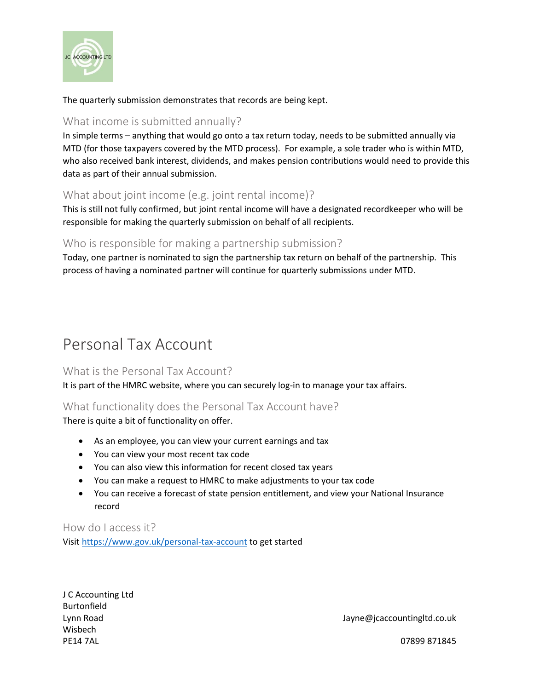

The quarterly submission demonstrates that records are being kept.

#### What income is submitted annually?

In simple terms – anything that would go onto a tax return today, needs to be submitted annually via MTD (for those taxpayers covered by the MTD process). For example, a sole trader who is within MTD, who also received bank interest, dividends, and makes pension contributions would need to provide this data as part of their annual submission.

#### What about joint income (e.g. joint rental income)?

This is still not fully confirmed, but joint rental income will have a designated recordkeeper who will be responsible for making the quarterly submission on behalf of all recipients.

#### Who is responsible for making a partnership submission?

Today, one partner is nominated to sign the partnership tax return on behalf of the partnership. This process of having a nominated partner will continue for quarterly submissions under MTD.

## Personal Tax Account

#### What is the Personal Tax Account?

It is part of the HMRC website, where you can securely log-in to manage your tax affairs.

#### What functionality does the Personal Tax Account have?

There is quite a bit of functionality on offer.

- As an employee, you can view your current earnings and tax
- You can view your most recent tax code
- You can also view this information for recent closed tax years
- You can make a request to HMRC to make adjustments to your tax code
- You can receive a forecast of state pension entitlement, and view your National Insurance record

How do I access it? Visit<https://www.gov.uk/personal-tax-account> to get started

J C Accounting Ltd Burtonfield Wisbech PE14 7AL 07899 871845

Lynn Road Jayne@jcaccountingltd.co.uk